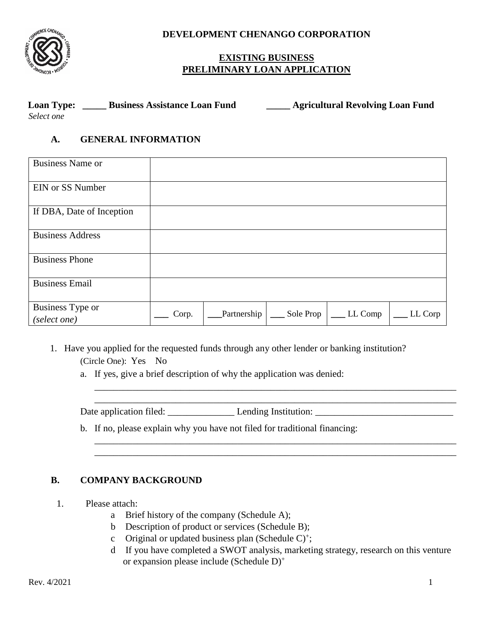

**DEVELOPMENT CHENANGO CORPORATION** 

## **EXISTING BUSINESS PRELIMINARY LOAN APPLICATION**

| <b>Loan Type:</b> | <b>Business Assistance Loan Fund</b> | <b>Agricultural Revolving Loan Fund</b> |
|-------------------|--------------------------------------|-----------------------------------------|
| Select one        |                                      |                                         |

## **A. GENERAL INFORMATION**

| <b>Business Name or</b>          |       |             |           |         |         |
|----------------------------------|-------|-------------|-----------|---------|---------|
| <b>EIN or SS Number</b>          |       |             |           |         |         |
| If DBA, Date of Inception        |       |             |           |         |         |
| <b>Business Address</b>          |       |             |           |         |         |
| <b>Business Phone</b>            |       |             |           |         |         |
| <b>Business Email</b>            |       |             |           |         |         |
| Business Type or<br>(select one) | Corp. | Partnership | Sole Prop | LL Comp | LL Corp |

- 1. Have you applied for the requested funds through any other lender or banking institution? (Circle One): Yes No
	- a. If yes, give a brief description of why the application was denied:

Date application filed: \_\_\_\_\_\_\_\_\_\_\_\_\_\_ Lending Institution: \_\_\_\_\_\_\_\_\_\_\_\_\_\_\_\_\_\_\_\_\_\_\_\_\_\_\_\_\_

b. If no, please explain why you have not filed for traditional financing:

## **B. COMPANY BACKGROUND**

- 1. Please attach:
	- a Brief history of the company (Schedule A);
	- b Description of product or services (Schedule B);
	- c Original or updated business plan (Schedule  $C$ )<sup>+</sup>;
	- d If you have completed a SWOT analysis, marketing strategy, research on this venture or expansion please include (Schedule D) +

\_\_\_\_\_\_\_\_\_\_\_\_\_\_\_\_\_\_\_\_\_\_\_\_\_\_\_\_\_\_\_\_\_\_\_\_\_\_\_\_\_\_\_\_\_\_\_\_\_\_\_\_\_\_\_\_\_\_\_\_\_\_\_\_\_\_\_\_\_\_\_\_\_\_\_\_ \_\_\_\_\_\_\_\_\_\_\_\_\_\_\_\_\_\_\_\_\_\_\_\_\_\_\_\_\_\_\_\_\_\_\_\_\_\_\_\_\_\_\_\_\_\_\_\_\_\_\_\_\_\_\_\_\_\_\_\_\_\_\_\_\_\_\_\_\_\_\_\_\_\_\_\_

\_\_\_\_\_\_\_\_\_\_\_\_\_\_\_\_\_\_\_\_\_\_\_\_\_\_\_\_\_\_\_\_\_\_\_\_\_\_\_\_\_\_\_\_\_\_\_\_\_\_\_\_\_\_\_\_\_\_\_\_\_\_\_\_\_\_\_\_\_\_\_\_\_\_\_\_ \_\_\_\_\_\_\_\_\_\_\_\_\_\_\_\_\_\_\_\_\_\_\_\_\_\_\_\_\_\_\_\_\_\_\_\_\_\_\_\_\_\_\_\_\_\_\_\_\_\_\_\_\_\_\_\_\_\_\_\_\_\_\_\_\_\_\_\_\_\_\_\_\_\_\_\_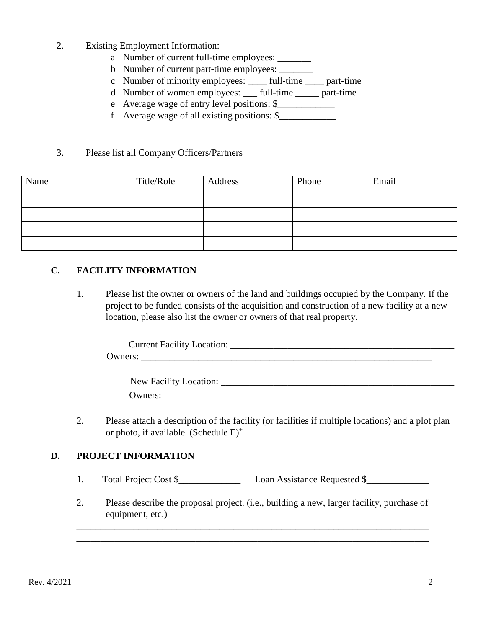- 2. Existing Employment Information:
	- a Number of current full-time employees:
	- b Number of current part-time employees: \_\_\_\_\_\_\_
	- c Number of minority employees: \_\_\_\_ full-time \_\_\_\_ part-time
	- d Number of women employees: \_\_\_ full-time \_\_\_\_\_ part-time
	- e Average wage of entry level positions: \$\_\_\_\_\_\_\_\_\_\_\_\_
	- f Average wage of all existing positions:  $\$

#### 3. Please list all Company Officers/Partners

| Name | Title/Role | Address | Phone | Email |
|------|------------|---------|-------|-------|
|      |            |         |       |       |
|      |            |         |       |       |
|      |            |         |       |       |
|      |            |         |       |       |

## **C. FACILITY INFORMATION**

1. Please list the owner or owners of the land and buildings occupied by the Company. If the project to be funded consists of the acquisition and construction of a new facility at a new location, please also list the owner or owners of that real property.

| $\sim$ $\sim$ $\sim$<br>`urren∶<br>$\sim$ $\sim$<br>M<br>20 |
|-------------------------------------------------------------|
|                                                             |

| New Facility Location: |  |
|------------------------|--|
| Owners:                |  |

2. Please attach a description of the facility (or facilities if multiple locations) and a plot plan or photo, if available. (Schedule  $E$ )<sup>+</sup>

#### **D. PROJECT INFORMATION**

- 1. Total Project Cost \$\_\_\_\_\_\_\_\_\_\_\_\_\_ Loan Assistance Requested \$\_\_\_\_\_\_\_\_\_\_\_\_\_
- 2. Please describe the proposal project. (i.e., building a new, larger facility, purchase of equipment, etc.)

\_\_\_\_\_\_\_\_\_\_\_\_\_\_\_\_\_\_\_\_\_\_\_\_\_\_\_\_\_\_\_\_\_\_\_\_\_\_\_\_\_\_\_\_\_\_\_\_\_\_\_\_\_\_\_\_\_\_\_\_\_\_\_\_\_\_\_\_\_\_\_\_\_\_ \_\_\_\_\_\_\_\_\_\_\_\_\_\_\_\_\_\_\_\_\_\_\_\_\_\_\_\_\_\_\_\_\_\_\_\_\_\_\_\_\_\_\_\_\_\_\_\_\_\_\_\_\_\_\_\_\_\_\_\_\_\_\_\_\_\_\_\_\_\_\_\_\_\_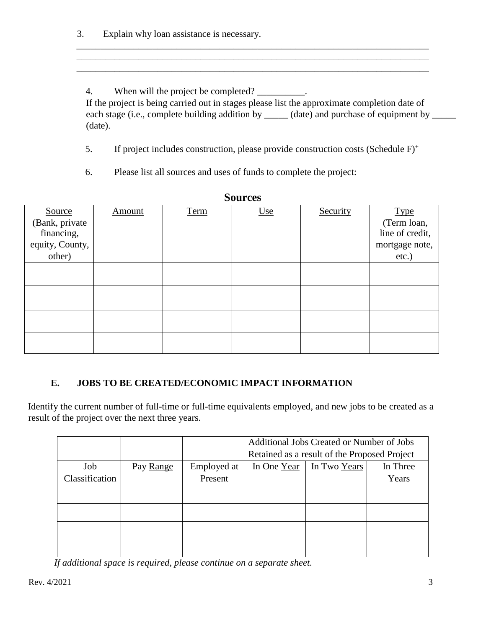3. Explain why loan assistance is necessary.

4. When will the project be completed? \_\_\_\_\_\_\_\_\_.

If the project is being carried out in stages please list the approximate completion date of each stage (i.e., complete building addition by \_\_\_\_\_ (date) and purchase of equipment by \_\_\_\_\_ (date).

5. If project includes construction, please provide construction costs (Schedule F)+

\_\_\_\_\_\_\_\_\_\_\_\_\_\_\_\_\_\_\_\_\_\_\_\_\_\_\_\_\_\_\_\_\_\_\_\_\_\_\_\_\_\_\_\_\_\_\_\_\_\_\_\_\_\_\_\_\_\_\_\_\_\_\_\_\_\_\_\_\_\_\_\_\_\_ \_\_\_\_\_\_\_\_\_\_\_\_\_\_\_\_\_\_\_\_\_\_\_\_\_\_\_\_\_\_\_\_\_\_\_\_\_\_\_\_\_\_\_\_\_\_\_\_\_\_\_\_\_\_\_\_\_\_\_\_\_\_\_\_\_\_\_\_\_\_\_\_\_\_

6. Please list all sources and uses of funds to complete the project:

| Sources         |               |      |            |          |                 |  |  |
|-----------------|---------------|------|------------|----------|-----------------|--|--|
| Source          | <b>Amount</b> | Term | <u>Use</u> | Security | <b>Type</b>     |  |  |
| (Bank, private  |               |      |            |          | (Term loan,     |  |  |
| financing,      |               |      |            |          | line of credit, |  |  |
| equity, County, |               |      |            |          | mortgage note,  |  |  |
| other)          |               |      |            |          | etc.)           |  |  |
|                 |               |      |            |          |                 |  |  |
|                 |               |      |            |          |                 |  |  |
|                 |               |      |            |          |                 |  |  |
|                 |               |      |            |          |                 |  |  |
|                 |               |      |            |          |                 |  |  |
|                 |               |      |            |          |                 |  |  |
|                 |               |      |            |          |                 |  |  |
|                 |               |      |            |          |                 |  |  |

**Sources** 

# **E. JOBS TO BE CREATED/ECONOMIC IMPACT INFORMATION**

Identify the current number of full-time or full-time equivalents employed, and new jobs to be created as a result of the project over the next three years.

|                |           |             | Additional Jobs Created or Number of Jobs    |  |       |  |
|----------------|-----------|-------------|----------------------------------------------|--|-------|--|
|                |           |             | Retained as a result of the Proposed Project |  |       |  |
| Job            | Pay Range | Employed at | In Three<br>In Two Years<br>In One Year      |  |       |  |
| Classification |           | Present     |                                              |  | Years |  |
|                |           |             |                                              |  |       |  |
|                |           |             |                                              |  |       |  |
|                |           |             |                                              |  |       |  |
|                |           |             |                                              |  |       |  |
|                |           |             |                                              |  |       |  |
|                |           |             |                                              |  |       |  |

 *If additional space is required, please continue on a separate sheet.*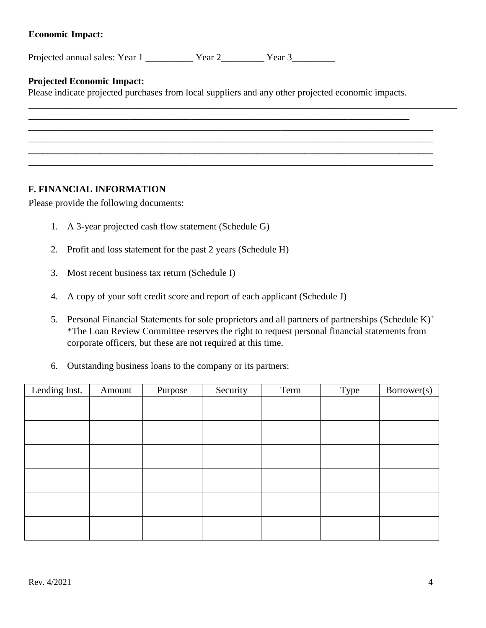## **Economic Impact:**

Projected annual sales: Year 1 The Year 2 Tear 3

## **Projected Economic Impact:**

Please indicate projected purchases from local suppliers and any other projected economic impacts.

## **F. FINANCIAL INFORMATION**

Please provide the following documents:

- 1. A 3-year projected cash flow statement (Schedule G)
- 2. Profit and loss statement for the past 2 years (Schedule H)
- 3. Most recent business tax return (Schedule I)
- 4. A copy of your soft credit score and report of each applicant (Schedule J)
- 5. Personal Financial Statements for sole proprietors and all partners of partnerships (Schedule  $K$ )<sup>+</sup> \*The Loan Review Committee reserves the right to request personal financial statements from corporate officers, but these are not required at this time.
- 6. Outstanding business loans to the company or its partners:

| Lending Inst. | Amount | Purpose | Security | Term | Type | Borrower(s) |
|---------------|--------|---------|----------|------|------|-------------|
|               |        |         |          |      |      |             |
|               |        |         |          |      |      |             |
|               |        |         |          |      |      |             |
|               |        |         |          |      |      |             |
|               |        |         |          |      |      |             |
|               |        |         |          |      |      |             |
|               |        |         |          |      |      |             |
|               |        |         |          |      |      |             |
|               |        |         |          |      |      |             |
|               |        |         |          |      |      |             |
|               |        |         |          |      |      |             |
|               |        |         |          |      |      |             |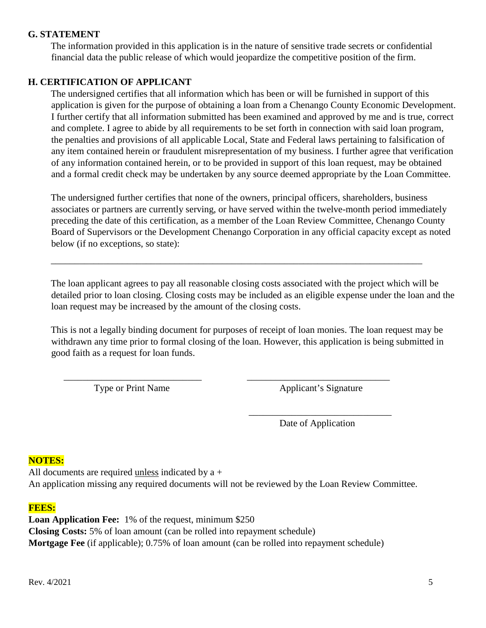### **G. STATEMENT**

The information provided in this application is in the nature of sensitive trade secrets or confidential financial data the public release of which would jeopardize the competitive position of the firm.

### **H. CERTIFICATION OF APPLICANT**

The undersigned certifies that all information which has been or will be furnished in support of this application is given for the purpose of obtaining a loan from a Chenango County Economic Development. I further certify that all information submitted has been examined and approved by me and is true, correct and complete. I agree to abide by all requirements to be set forth in connection with said loan program, the penalties and provisions of all applicable Local, State and Federal laws pertaining to falsification of any item contained herein or fraudulent misrepresentation of my business. I further agree that verification of any information contained herein, or to be provided in support of this loan request, may be obtained and a formal credit check may be undertaken by any source deemed appropriate by the Loan Committee.

The undersigned further certifies that none of the owners, principal officers, shareholders, business associates or partners are currently serving, or have served within the twelve-month period immediately preceding the date of this certification, as a member of the Loan Review Committee, Chenango County Board of Supervisors or the Development Chenango Corporation in any official capacity except as noted below (if no exceptions, so state):

\_\_\_\_\_\_\_\_\_\_\_\_\_\_\_\_\_\_\_\_\_\_\_\_\_\_\_\_\_\_\_\_\_\_\_\_\_\_\_\_\_\_\_\_\_\_\_\_\_\_\_\_\_\_\_\_\_\_\_\_\_\_\_\_\_\_\_\_\_\_\_\_\_\_\_\_\_\_

The loan applicant agrees to pay all reasonable closing costs associated with the project which will be detailed prior to loan closing. Closing costs may be included as an eligible expense under the loan and the loan request may be increased by the amount of the closing costs.

This is not a legally binding document for purposes of receipt of loan monies. The loan request may be withdrawn any time prior to formal closing of the loan. However, this application is being submitted in good faith as a request for loan funds.

 $\frac{1}{\sqrt{2}}$  ,  $\frac{1}{\sqrt{2}}$  ,  $\frac{1}{\sqrt{2}}$  ,  $\frac{1}{\sqrt{2}}$  ,  $\frac{1}{\sqrt{2}}$  ,  $\frac{1}{\sqrt{2}}$  ,  $\frac{1}{\sqrt{2}}$  ,  $\frac{1}{\sqrt{2}}$  ,  $\frac{1}{\sqrt{2}}$  ,  $\frac{1}{\sqrt{2}}$  ,  $\frac{1}{\sqrt{2}}$  ,  $\frac{1}{\sqrt{2}}$  ,  $\frac{1}{\sqrt{2}}$  ,  $\frac{1}{\sqrt{2}}$  ,  $\frac{1}{\sqrt{2}}$ 

Type or Print Name Applicant's Signature

Date of Application

#### **NOTES:**

All documents are required unless indicated by a + An application missing any required documents will not be reviewed by the Loan Review Committee.

#### **FEES:**

**Loan Application Fee:** 1% of the request, minimum \$250 **Closing Costs:** 5% of loan amount (can be rolled into repayment schedule) **Mortgage Fee** (if applicable); 0.75% of loan amount (can be rolled into repayment schedule)

 $\frac{1}{2}$  ,  $\frac{1}{2}$  ,  $\frac{1}{2}$  ,  $\frac{1}{2}$  ,  $\frac{1}{2}$  ,  $\frac{1}{2}$  ,  $\frac{1}{2}$  ,  $\frac{1}{2}$  ,  $\frac{1}{2}$  ,  $\frac{1}{2}$  ,  $\frac{1}{2}$  ,  $\frac{1}{2}$  ,  $\frac{1}{2}$  ,  $\frac{1}{2}$  ,  $\frac{1}{2}$  ,  $\frac{1}{2}$  ,  $\frac{1}{2}$  ,  $\frac{1}{2}$  ,  $\frac{1$